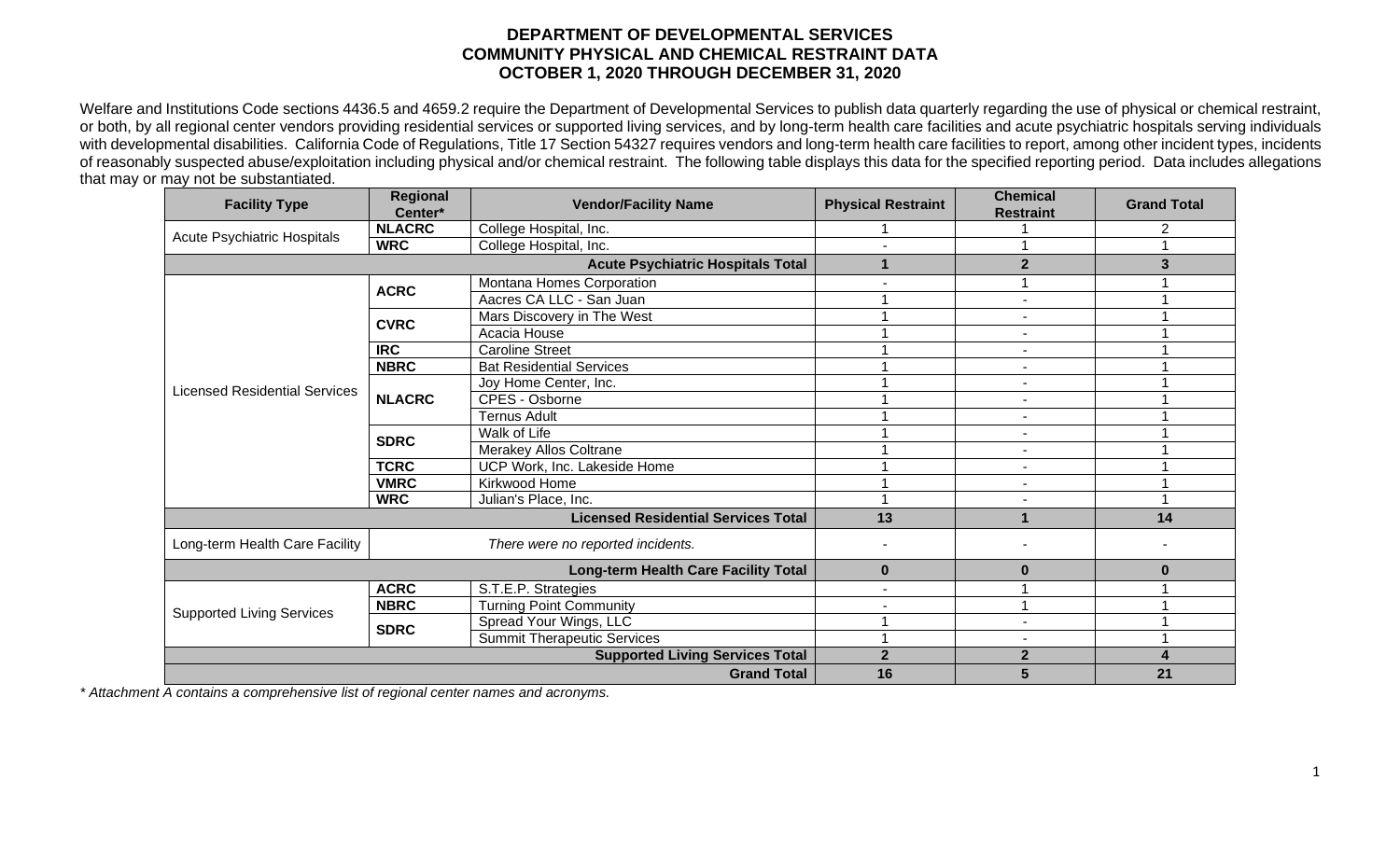## **DEPARTMENT OF DEVELOPMENTAL SERVICES COMMUNITY PHYSICAL AND CHEMICAL RESTRAINT DATA OCTOBER 1, 2020 THROUGH DECEMBER 31, 2020**

Welfare and Institutions Code sections 4436.5 and 4659.2 require the Department of Developmental Services to publish data quarterly regarding the use of physical or chemical restraint, or both, by all regional center vendors providing residential services or supported living services, and by long-term health care facilities and acute psychiatric hospitals serving individuals with developmental disabilities. California Code of Regulations, Title 17 Section 54327 requires vendors and long-term health care facilities to report, among other incident types, incidents of reasonably suspected abuse/exploitation including physical and/or chemical restraint. The following table displays this data for the specified reporting period. Data includes allegations that may or may not be substantiated.

| <b>Facility Type</b>                       | <b>Regional</b><br>Center*               | <b>Vendor/Facility Name</b>        | <b>Physical Restraint</b> | <b>Chemical</b><br><b>Restraint</b> | <b>Grand Total</b> |
|--------------------------------------------|------------------------------------------|------------------------------------|---------------------------|-------------------------------------|--------------------|
| <b>Acute Psychiatric Hospitals</b>         | <b>NLACRC</b>                            | College Hospital, Inc.             |                           |                                     | 2                  |
|                                            | <b>WRC</b>                               | College Hospital, Inc.             |                           |                                     |                    |
|                                            | <b>Acute Psychiatric Hospitals Total</b> | 1                                  | $\overline{2}$            | 3                                   |                    |
| <b>Licensed Residential Services</b>       | <b>ACRC</b>                              | Montana Homes Corporation          |                           |                                     |                    |
|                                            |                                          | Aacres CA LLC - San Juan           |                           | $\blacksquare$                      |                    |
|                                            | <b>CVRC</b>                              | Mars Discovery in The West         |                           | $\overline{\phantom{a}}$            |                    |
|                                            |                                          | Acacia House                       |                           | $\blacksquare$                      |                    |
|                                            | <b>IRC</b>                               | <b>Caroline Street</b>             |                           | $\blacksquare$                      |                    |
|                                            | <b>NBRC</b>                              | <b>Bat Residential Services</b>    |                           | $\blacksquare$                      |                    |
|                                            | <b>NLACRC</b>                            | Joy Home Center, Inc.              |                           | $\overline{\phantom{a}}$            |                    |
|                                            |                                          | <b>CPES - Osborne</b>              |                           | $\blacksquare$                      |                    |
|                                            |                                          | <b>Ternus Adult</b>                |                           | $\overline{\phantom{0}}$            |                    |
|                                            | <b>SDRC</b>                              | Walk of Life                       |                           | $\blacksquare$                      |                    |
|                                            |                                          | Merakey Allos Coltrane             |                           | $\blacksquare$                      |                    |
|                                            | <b>TCRC</b>                              | UCP Work, Inc. Lakeside Home       |                           | $\blacksquare$                      |                    |
|                                            | <b>VMRC</b>                              | Kirkwood Home                      |                           | $\blacksquare$                      |                    |
|                                            | <b>WRC</b>                               | Julian's Place, Inc.               |                           |                                     |                    |
| <b>Licensed Residential Services Total</b> |                                          |                                    | 13                        |                                     | 14                 |
| Long-term Health Care Facility             | There were no reported incidents.        |                                    |                           |                                     |                    |
|                                            | Long-term Health Care Facility Total     | $\mathbf{0}$                       | $\bf{0}$                  | 0                                   |                    |
| <b>Supported Living Services</b>           | <b>ACRC</b>                              | S.T.E.P. Strategies                |                           |                                     |                    |
|                                            | <b>NBRC</b>                              | <b>Turning Point Community</b>     |                           |                                     |                    |
|                                            | <b>SDRC</b>                              | Spread Your Wings, LLC             |                           |                                     |                    |
|                                            |                                          | <b>Summit Therapeutic Services</b> |                           |                                     |                    |
|                                            | <b>Supported Living Services Total</b>   | $\overline{2}$                     | $\mathbf{2}$              | 4                                   |                    |
|                                            |                                          | <b>Grand Total</b>                 | 16                        | 5                                   | 21                 |

*\* Attachment A contains a comprehensive list of regional center names and acronyms.*